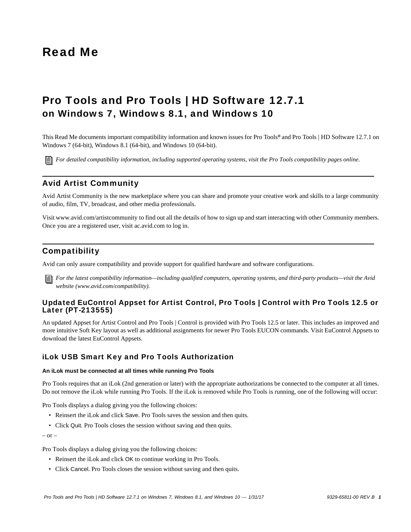# Read Me

# Pro Tools and Pro Tools | HD Software 12.7.1 on Windows 7, Windows 8.1, and Windows 10

This Read Me documents important compatibility information and known issues for Pro Tools*®* and Pro Tools | HD Software 12.7.1 on Windows 7 (64-bit), Windows 8.1 (64-bit), and Windows 10 (64-bit).

*[For detailed compatibility information, including supported operating systems, visit the Pro Tools compatibility pages online.](http://avid.force.com/pkb/articles/Compatibility/Pro-Tools-12-System-Requirements)*

# Avid Artist Community

Avid Artist Community is the new marketplace where you can share and promote your creative work and skills to a large community of audio, film, TV, broadcast, and other media professionals.

[Visit www.avid.com/artistcommunity to find out all the details of how to sign up and start interacting with other Community members.](www.avid.com/artistcommunity)  [Once you are a registered user, visit](www.avid.com/artistcommunity) [ac.avid.com to log in.](http://ac.avid.com/)

# **Compatibility**

Avid can only assure compatibility and provide support for qualified hardware and software configurations.

*[For the latest compatibility information—including qualified computers, operating systems, and third-party products—visit the Avid](http://www.avid.com/compatibility)  website (www.avid.com/compatibility).*

# Updated EuControl Appset for Artist Control, Pro Tools | Control with Pro Tools 12.5 or Later (PT-213555)

An updated Appset for Artist Control and Pro Tools | Control is provided with Pro Tools 12.5 or later. This includes an improved and [more intuitive Soft Key layout as well as additional assignments for newer Pro Tools EUCON commands. Visit EuControl Appsets to](http://avid.force.com/pkb/articles/download/Where-can-I-find-the-latest-EuControl-Appsets) download the latest EuControl Appsets.

# iLok USB Smart Key and Pro Tools Authorization

### **An iLok must be connected at all times while running Pro Tools**

Pro Tools requires that an iLok (2nd generation or later) with the appropriate authorizations be connected to the computer at all times. Do not remove the iLok while running Pro Tools. If the iLok is removed while Pro Tools is running, one of the following will occur:

Pro Tools displays a dialog giving you the following choices:

- Reinsert the iLok and click Save. Pro Tools saves the session and then quits.
- Click Quit. Pro Tools closes the session without saving and then quits.

 $-$  or  $-$ 

Pro Tools displays a dialog giving you the following choices:

- Reinsert the iLok and click OK to continue working in Pro Tools.
- Click Cancel. Pro Tools closes the session without saving and then quits.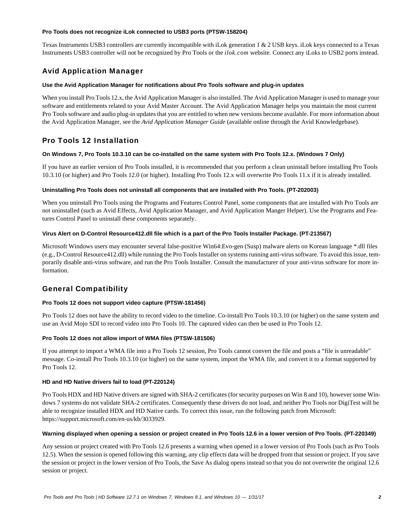#### **Pro Tools does not recognize iLok connected to USB3 ports (PTSW-158204)**

Texas Instruments USB3 controllers are currently incompatible with iLok generation 1 & 2 USB keys. iLok keys connected to a Texas Instruments USB3 controller will not be recognized by Pro Tools or the *ilok.com* website. Connect any iLoks to USB2 ports instead.

# Avid Application Manager

# **Use the Avid Application Manager for notifications about Pro Tools software and plug-in updates**

When you install Pro Tools 12.x, the Avid Application Manager is also installed. The Avid Application Manager is used to manage your software and entitlements related to your Avid Master Account. The Avid Application Manager helps you maintain the most current Pro Tools software and audio plug-in updates that you are entitled to when new versions become available. For more information about the Avid Application Manager, see the *Avid Application Manager Guide* (available online through the Avid Knowledgebase).

# Pro Tools 12 Installation

### **On Windows 7, Pro Tools 10.3.10 can be co-installed on the same system with Pro Tools 12.x. (Windows 7 Only)**

If you have an earlier version of Pro Tools installed, it is recommended that you perform a clean uninstall before installing Pro Tools 10.3.10 (or higher) and Pro Tools 12.0 (or higher). Installing Pro Tools 12.x will overwrite Pro Tools 11.x if it is already installed.

### **Uninstalling Pro Tools does not uninstall all components that are installed with Pro Tools. (PT-202003)**

When you uninstall Pro Tools using the Programs and Features Control Panel, some components that are installed with Pro Tools are not uninstalled (such as Avid Effects, Avid Application Manager, and Avid Application Manger Helper). Use the Programs and Features Control Panel to uninstall these components separately.

### **Virus Alert on D-Control Resource412.dll file which is a part of the Pro Tools Installer Package. (PT-213567)**

Microsoft Windows users may encounter several false-positive Win64:Evo-gen (Susp) malware alerts on Korean language \*.dll files (e.g., D-Control Resource412.dll) while running the Pro Tools Installer on systems running anti-virus software. To avoid this issue, temporarily disable anti-virus software, and run the Pro Tools Installer. Consult the manufacturer of your anti-virus software for more information.

# General Compatibility

# **Pro Tools 12 does not support video capture (PTSW-181456)**

Pro Tools 12 does not have the ability to record video to the timeline. Co-install Pro Tools 10.3.10 (or higher) on the same system and use an Avid Mojo SDI to record video into Pro Tools 10. The captured video can then be used in Pro Tools 12.

# **Pro Tools 12 does not allow import of WMA files (PTSW-181506)**

If you attempt to import a WMA file into a Pro Tools 12 session, Pro Tools cannot convert the file and posts a "file is unreadable" message. Co-install Pro Tools 10.3.10 (or higher) on the same system, import the WMA file, and convert it to a format supported by Pro Tools 12.

#### **HD and HD Native drivers fail to load (PT-220124)**

Pro Tools HDX and HD Native drivers are signed with SHA-2 certificates (for security purposes on Win 8 and 10), however some Windows 7 systems do not validate SHA-2 certificates. Consequently these drivers do not load, and neither Pro Tools nor DigiTest will be able to recognize installed HDX and HD Native cards. To correct this issue, run the following patch from Microsoft: https://support.microsoft.com/en-us/kb/3033929.

#### **Warning displayed when opening a session or project created in Pro Tools 12.6 in a lower version of Pro Tools. (PT-220349)**

Any session or project created with Pro Tools 12.6 presents a warning when opened in a lower version of Pro Tools (such as Pro Tools 12.5). When the session is opened following this warning, any clip effects data will be dropped from that session or project. If you save the session or project in the lower version of Pro Tools, the Save As dialog opens instead so that you do not overwrite the original 12.6 session or project.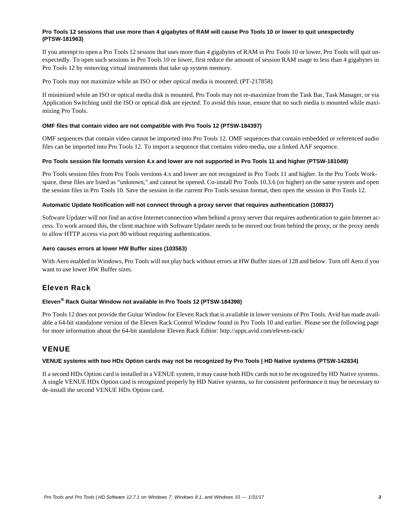# **Pro Tools 12 sessions that use more than 4 gigabytes of RAM will cause Pro Tools 10 or lower to quit unexpectedly (PTSW-181963)**

If you attempt to open a Pro Tools 12 session that uses more than 4 gigabytes of RAM in Pro Tools 10 or lower, Pro Tools will quit unexpectedly. To open such sessions in Pro Tools 10 or lower, first reduce the amount of session RAM usage to less than 4 gigabytes in Pro Tools 12 by removing virtual instruments that take up system memory.

Pro Tools may not maximize while an ISO or other optical media is mounted. (PT-217858)

If minimized while an ISO or optical media disk is mounted, Pro Tools may not re-maximize from the Task Bar, Task Manager, or via Application Switching until the ISO or optical disk are ejected. To avoid this issue, ensure that no such media is mounted while maximizing Pro Tools.

### **OMF files that contain video are not compatible with Pro Tools 12 (PTSW-184397)**

OMF sequences that contain video cannot be imported into Pro Tools 12. OMF sequences that contain embedded or referenced audio files can be imported into Pro Tools 12. To import a sequence that contains video media, use a linked AAF sequence.

### **Pro Tools session file formats version 4.x and lower are not supported in Pro Tools 11 and higher (PTSW-181049)**

Pro Tools session files from Pro Tools versions 4.x and lower are not recognized in Pro Tools 11 and higher. In the Pro Tools Workspace, these files are listed as "unknown," and cannot be opened. Co-install Pro Tools 10.3.6 (or higher) on the same system and open the session files in Pro Tools 10. Save the session in the current Pro Tools session format, then open the session in Pro Tools 12.

### **Automatic Update Notification will not connect through a proxy server that requires authentication (108837)**

Software Updater will not find an active Internet connection when behind a proxy server that requires authentication to gain Internet access. To work around this, the client machine with Software Updater needs to be moved out from behind the proxy, or the proxy needs to allow HTTP access via port 80 without requiring authentication.

### **Aero causes errors at lower HW Buffer sizes (103563)**

With Aero enabled in Windows, Pro Tools will not play back without errors at HW Buffer sizes of 128 and below. Turn off Aero if you want to use lower HW Buffer sizes.

# Eleven Rack

# **Eleven® Rack Guitar Window not available in Pro Tools 12 (PTSW-184398)**

Pro Tools 12 does not provide the Guitar Window for Eleven Rack that is available in lower versions of Pro Tools. Avid has made available a 64-bit standalone version of the Eleven Rack Control Window found in Pro Tools 10 and earlier. Please see the following page for more information about the 64-bit standalone Eleven Rack Editor: http://apps.avid.com/eleven-rack/

# VENUE

# **VENUE systems with two HDx Option cards may not be recognized by Pro Tools | HD Native systems (PTSW-142834)**

If a second HDx Option card is installed in a VENUE system, it may cause both HDx cards not to be recognized by HD Native systems. A single VENUE HDx Option card is recognized properly by HD Native systems, so for consistent performance it may be necessary to de-install the second VENUE HDx Option card.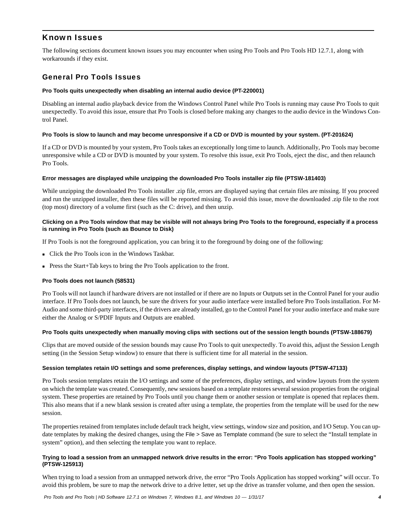# Known Issues

The following sections document known issues you may encounter when using Pro Tools and Pro Tools HD 12.7.1, along with workarounds if they exist.

# General Pro Tools Issues

### **Pro Tools quits unexpectedly when disabling an internal audio device (PT-220001)**

Disabling an internal audio playback device from the Windows Control Panel while Pro Tools is running may cause Pro Tools to quit unexpectedly. To avoid this issue, ensure that Pro Tools is closed before making any changes to the audio device in the Windows Control Panel.

### **Pro Tools is slow to launch and may become unresponsive if a CD or DVD is mounted by your system. (PT-201624)**

If a CD or DVD is mounted by your system, Pro Tools takes an exceptionally long time to launch. Additionally, Pro Tools may become unresponsive while a CD or DVD is mounted by your system. To resolve this issue, exit Pro Tools, eject the disc, and then relaunch Pro Tools.

### **Error messages are displayed while unzipping the downloaded Pro Tools installer zip file (PTSW-181403)**

While unzipping the downloaded Pro Tools installer .zip file, errors are displayed saying that certain files are missing. If you proceed and run the unzipped installer, then these files will be reported missing. To avoid this issue, move the downloaded .zip file to the root (top most) directory of a volume first (such as the C: drive), and then unzip.

# **Clicking on a Pro Tools window that may be visible will not always bring Pro Tools to the foreground, especially if a process is running in Pro Tools (such as Bounce to Disk)**

If Pro Tools is not the foreground application, you can bring it to the foreground by doing one of the following:

- Click the Pro Tools icon in the Windows Taskbar.
- Press the Start+Tab keys to bring the Pro Tools application to the front.

# **Pro Tools does not launch (58531)**

Pro Tools will not launch if hardware drivers are not installed or if there are no Inputs or Outputs set in the Control Panel for your audio interface. If Pro Tools does not launch, be sure the drivers for your audio interface were installed before Pro Tools installation. For M-Audio and some third-party interfaces, if the drivers are already installed, go to the Control Panel for your audio interface and make sure either the Analog or S/PDIF Inputs and Outputs are enabled.

#### **Pro Tools quits unexpectedly when manually moving clips with sections out of the session length bounds (PTSW-188679)**

Clips that are moved outside of the session bounds may cause Pro Tools to quit unexpectedly. To avoid this, adjust the Session Length setting (in the Session Setup window) to ensure that there is sufficient time for all material in the session.

#### **Session templates retain I/O settings and some preferences, display settings, and window layouts (PTSW-47133)**

Pro Tools session templates retain the I/O settings and some of the preferences, display settings, and window layouts from the system on which the template was created. Consequently, new sessions based on a template restores several session properties from the original system. These properties are retained by Pro Tools until you change them or another session or template is opened that replaces them. This also means that if a new blank session is created after using a template, the properties from the template will be used for the new session.

The properties retained from templates include default track height, view settings, window size and position, and I/O Setup. You can update templates by making the desired changes, using the File > Save as Template command (be sure to select the "Install template in system" option), and then selecting the template you want to replace.

# **Trying to load a session from an unmapped network drive results in the error: "Pro Tools application has stopped working" (PTSW-125913)**

When trying to load a session from an unmapped network drive, the error "Pro Tools Application has stopped working" will occur. To avoid this problem, be sure to map the network drive to a drive letter, set up the drive as transfer volume, and then open the session.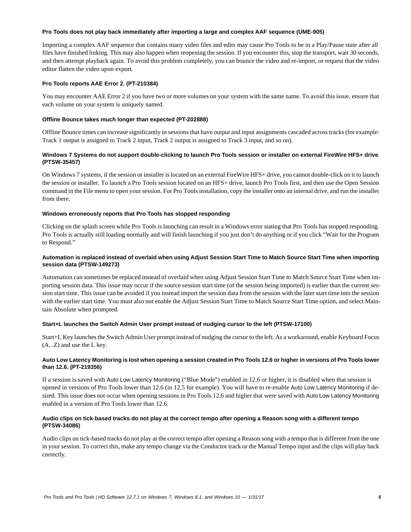#### **Pro Tools does not play back immediately after importing a large and complex AAF sequence (UME-905)**

Importing a complex AAF sequence that contains many video files and edits may cause Pro Tools to be in a Play/Pause state after all files have finished linking. This may also happen when reopening the session. If you encounter this, stop the transport, wait 30 seconds, and then attempt playback again. To avoid this problem completely, you can bounce the video and re-import, or request that the video editor flatten the video upon export.

# **Pro Tools reports AAE Error 2. (PT-210384)**

You may encounter AAE Error 2 if you have two or more volumes on your system with the same name. To avoid this issue, ensure that each volume on your system is uniquely named.

# **Offline Bounce takes much longer than expected (PT-202888)**

Offline Bounce times can increase significantly in sessions that have output and input assignments cascaded across tracks (for example: Track 1 output is assigned to Track 2 input, Track 2 output is assigned to Track 3 input, and so on).

# **Windows 7 Systems do not support double-clicking to launch Pro Tools session or installer on external FireWire HFS+ drive (PTSW-35457)**

On Windows 7 systems, if the session or installer is located on an external FireWire HFS+ drive, you cannot double-click on it to launch the session or installer. To launch a Pro Tools session located on an HFS+ drive, launch Pro Tools first, and then use the Open Session command in the File menu to open your session. For Pro Tools installation, copy the installer onto an internal drive, and run the installer from there.

# **Windows erroneously reports that Pro Tools has stopped responding**

Clicking on the splash screen while Pro Tools is launching can result in a Windows error stating that Pro Tools has stopped responding. Pro Tools is actually still loading normally and will finish launching if you just don't do anything or if you click "Wait for the Program to Respond."

# **Automation is replaced instead of overlaid when using Adjust Session Start Time to Match Source Start Time when importing session data (PTSW-149273)**

Automation can sometimes be replaced instead of overlaid when using Adjust Session Start Time to Match Source Start Time when importing session data. This issue may occur if the source session start time (of the session being imported) is earlier than the current session start time. This issue can be avoided if you instead import the session data from the session with the later start time into the session with the earlier start time. You must also not enable the Adjust Session Start Time to Match Source Start Time option, and select Maintain Absolute when prompted.

# **Start+L launches the Switch Admin User prompt instead of nudging cursor to the left (PTSW-17100)**

Start+L Key launches the Switch Admin User prompt instead of nudging the cursor to the left. As a workaround, enable Keyboard Focus (A...Z) and use the L key.

# **Auto Low Latency Monitoring is lost when opening a session created in Pro Tools 12.6 or higher in versions of Pro Tools lower than 12.6. (PT-219356)**

If a session is saved with Auto Low Latency Monitoring ("Blue Mode") enabled in 12.6 or higher, it is disabled when that session is opened in versions of Pro Tools lower than 12.6 (in 12.5 for example). You will have to re-enable Auto Low Latency Monitoring if desired. This issue does not occur when opening sessions in Pro Tools 12.6 and higher that were saved with Auto Low Latency Monitoring enabled in a version of Pro Tools lower than 12.6.

# **Audio clips on tick-based tracks do not play at the correct tempo after opening a Reason song with a different tempo (PTSW-34086)**

Audio clips on tick-based tracks do not play at the correct tempo after opening a Reason song with a tempo that is different from the one in your session. To correct this, make any tempo change via the Conductor track or the Manual Tempo input and the clips will play back correctly.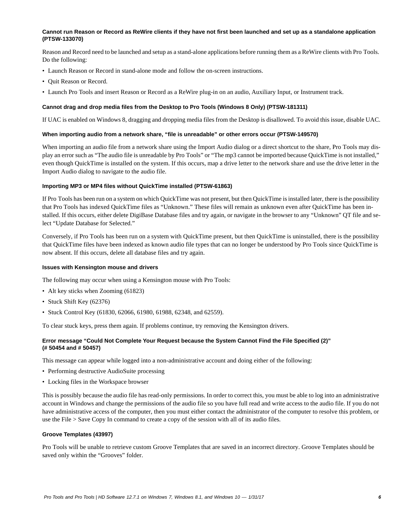### **Cannot run Reason or Record as ReWire clients if they have not first been launched and set up as a standalone application (PTSW-133070)**

Reason and Record need to be launched and setup as a stand-alone applications before running them as a ReWire clients with Pro Tools. Do the following:

- Launch Reason or Record in stand-alone mode and follow the on-screen instructions.
- Quit Reason or Record.
- Launch Pro Tools and insert Reason or Record as a ReWire plug-in on an audio, Auxiliary Input, or Instrument track.

#### **Cannot drag and drop media files from the Desktop to Pro Tools (Windows 8 Only) (PTSW-181311)**

If UAC is enabled on Windows 8, dragging and dropping media files from the Desktop is disallowed. To avoid this issue, disable UAC.

#### **When importing audio from a network share, "file is unreadable" or other errors occur (PTSW-149570)**

When importing an audio file from a network share using the Import Audio dialog or a direct shortcut to the share, Pro Tools may display an error such as "The audio file is unreadable by Pro Tools" or "The mp3 cannot be imported because QuickTime is not installed," even though QuickTime is installed on the system. If this occurs, map a drive letter to the network share and use the drive letter in the Import Audio dialog to navigate to the audio file.

#### **Importing MP3 or MP4 files without QuickTime installed (PTSW-61863)**

If Pro Tools has been run on a system on which QuickTime was not present, but then QuickTime is installed later, there is the possibility that Pro Tools has indexed QuickTime files as "Unknown." These files will remain as unknown even after QuickTime has been installed. If this occurs, either delete DigiBase Database files and try again, or navigate in the browser to any "Unknown" QT file and select "Update Database for Selected."

Conversely, if Pro Tools has been run on a system with QuickTime present, but then QuickTime is uninstalled, there is the possibility that QuickTime files have been indexed as known audio file types that can no longer be understood by Pro Tools since QuickTime is now absent. If this occurs, delete all database files and try again.

#### **Issues with Kensington mouse and drivers**

The following may occur when using a Kensington mouse with Pro Tools:

- Alt key sticks when Zooming (61823)
- Stuck Shift Key (62376)
- Stuck Control Key (61830, 62066, 61980, 61988, 62348, and 62559).

To clear stuck keys, press them again. If problems continue, try removing the Kensington drivers.

# **Error message "Could Not Complete Your Request because the System Cannot Find the File Specified (2)" (# 50454 and # 50457)**

This message can appear while logged into a non-administrative account and doing either of the following:

- Performing destructive AudioSuite processing
- Locking files in the Workspace browser

This is possibly because the audio file has read-only permissions. In order to correct this, you must be able to log into an administrative account in Windows and change the permissions of the audio file so you have full read and write access to the audio file. If you do not have administrative access of the computer, then you must either contact the administrator of the computer to resolve this problem, or use the File > Save Copy In command to create a copy of the session with all of its audio files.

#### **Groove Templates (43997)**

Pro Tools will be unable to retrieve custom Groove Templates that are saved in an incorrect directory. Groove Templates should be saved only within the "Grooves" folder.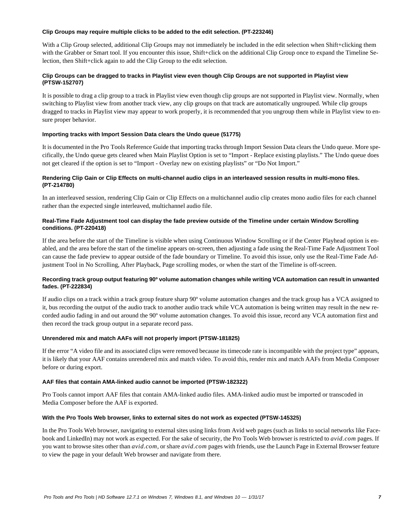### **Clip Groups may require multiple clicks to be added to the edit selection. (PT-223246)**

With a Clip Group selected, additional Clip Groups may not immediately be included in the edit selection when Shift+clicking them with the Grabber or Smart tool. If you encounter this issue, Shift+click on the additional Clip Group once to expand the Timeline Selection, then Shift+click again to add the Clip Group to the edit selection.

# **Clip Groups can be dragged to tracks in Playlist view even though Clip Groups are not supported in Playlist view (PTSW-152707)**

It is possible to drag a clip group to a track in Playlist view even though clip groups are not supported in Playlist view. Normally, when switching to Playlist view from another track view, any clip groups on that track are automatically ungrouped. While clip groups dragged to tracks in Playlist view may appear to work properly, it is recommended that you ungroup them while in Playlist view to ensure proper behavior.

### **Importing tracks with Import Session Data clears the Undo queue (51775)**

It is documented in the Pro Tools Reference Guide that importing tracks through Import Session Data clears the Undo queue. More specifically, the Undo queue gets cleared when Main Playlist Option is set to "Import - Replace existing playlists." The Undo queue does not get cleared if the option is set to "Import - Overlay new on existing playlists" or "Do Not Import."

# **Rendering Clip Gain or Clip Effects on multi-channel audio clips in an interleaved session results in multi-mono files. (PT-214780)**

In an interleaved session, rendering Clip Gain or Clip Effects on a multichannel audio clip creates mono audio files for each channel rather than the expected single interleaved, multichannel audio file.

# **Real-Time Fade Adjustment tool can display the fade preview outside of the Timeline under certain Window Scrolling conditions. (PT-220418)**

If the area before the start of the Timeline is visible when using Continuous Window Scrolling or if the Center Playhead option is enabled, and the area before the start of the timeline appears on-screen, then adjusting a fade using the Real-Time Fade Adjustment Tool can cause the fade preview to appear outside of the fade boundary or Timeline. To avoid this issue, only use the Real-Time Fade Adjustment Tool in No Scrolling, After Playback, Page scrolling modes, or when the start of the Timeline is off-screen.

# **Recording track group output featuring 90º volume automation changes while writing VCA automation can result in unwanted fades. (PT-222834)**

If audio clips on a track within a track group feature sharp 90º volume automation changes and the track group has a VCA assigned to it, bus recording the output of the audio track to another audio track while VCA automation is being written may result in the new recorded audio fading in and out around the 90º volume automation changes. To avoid this issue, record any VCA automation first and then record the track group output in a separate record pass.

# **Unrendered mix and match AAFs will not properly import (PTSW-181825)**

If the error "A video file and its associated clips were removed because its timecode rate is incompatible with the project type" appears, it is likely that your AAF contains unrendered mix and match video. To avoid this, render mix and match AAFs from Media Composer before or during export.

# **AAF files that contain AMA-linked audio cannot be imported (PTSW-182322)**

Pro Tools cannot import AAF files that contain AMA-linked audio files. AMA-linked audio must be imported or transcoded in Media Composer before the AAF is exported.

#### **With the Pro Tools Web browser, links to external sites do not work as expected (PTSW-145325)**

In the Pro Tools Web browser, navigating to external sites using links from Avid web pages (such as links to social networks like Facebook and LinkedIn) may not work as expected. For the sake of security, the Pro Tools Web browser is restricted to *avid.com* pages. If you want to browse sites other than *avid.com*, or share *avid.com* pages with friends, use the Launch Page in External Browser feature to view the page in your default Web browser and navigate from there.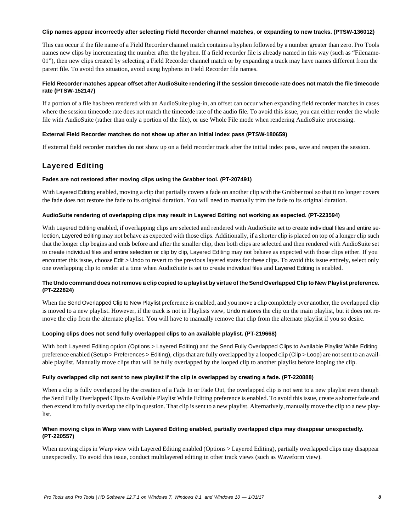#### **Clip names appear incorrectly after selecting Field Recorder channel matches, or expanding to new tracks. (PTSW-136012)**

This can occur if the file name of a Field Recorder channel match contains a hyphen followed by a number greater than zero. Pro Tools names new clips by incrementing the number after the hyphen. If a field recorder file is already named in this way (such as "Filename-01"), then new clips created by selecting a Field Recorder channel match or by expanding a track may have names different from the parent file. To avoid this situation, avoid using hyphens in Field Recorder file names.

# **Field Recorder matches appear offset after AudioSuite rendering if the session timecode rate does not match the file timecode rate (PTSW-152147)**

If a portion of a file has been rendered with an AudioSuite plug-in, an offset can occur when expanding field recorder matches in cases where the session timecode rate does not match the timecode rate of the audio file. To avoid this issue, you can either render the whole file with AudioSuite (rather than only a portion of the file), or use Whole File mode when rendering AudioSuite processing.

### **External Field Recorder matches do not show up after an initial index pass (PTSW-180659)**

If external field recorder matches do not show up on a field recorder track after the initial index pass, save and reopen the session.

# Layered Editing

# **Fades are not restored after moving clips using the Grabber tool. (PT-207491)**

With Layered Editing enabled, moving a clip that partially covers a fade on another clip with the Grabber tool so that it no longer covers the fade does not restore the fade to its original duration. You will need to manually trim the fade to its original duration.

### **AudioSuite rendering of overlapping clips may result in Layered Editing not working as expected. (PT-223594)**

With Layered Editing enabled, if overlapping clips are selected and rendered with AudioSuite set to create individual files and entire selection, Layered Editing may not behave as expected with those clips. Additionally, if a shorter clip is placed on top of a longer clip such that the longer clip begins and ends before and after the smaller clip, then both clips are selected and then rendered with AudioSuite set to create individual files and entire selection or clip by clip, Layered Editing may not behave as expected with those clips either. If you encounter this issue, choose Edit > Undo to revert to the previous layered states for these clips. To avoid this issue entirely, select only one overlapping clip to render at a time when AudioSuite is set to create individual files and Layered Editing is enabled.

# **The Undo command does not remove a clip copied to a playlist by virtue of the Send Overlapped Clip to New Playlist preference. (PT-222824)**

When the Send Overlapped Clip to New Playlist preference is enabled, and you move a clip completely over another, the overlapped clip is moved to a new playlist. However, if the track is not in Playlists view, Undo restores the clip on the main playlist, but it does not remove the clip from the alternate playlist. You will have to manually remove that clip from the alternate playlist if you so desire.

# **Looping clips does not send fully overlapped clips to an available playlist. (PT-219668)**

With both Layered Editing option (Options > Layered Editing) and the Send Fully Overlapped Clips to Available Playlist While Editing preference enabled (Setup > Preferences > Editing), clips that are fully overlapped by a looped clip (Clip > Loop) are not sent to an available playlist. Manually move clips that will be fully overlapped by the looped clip to another playlist before looping the clip.

# **Fully overlapped clip not sent to new playlist if the clip is overlapped by creating a fade. (PT-220888)**

When a clip is fully overlapped by the creation of a Fade In or Fade Out, the overlapped clip is not sent to a new playlist even though the Send Fully Overlapped Clips to Available Playlist While Editing preference is enabled. To avoid this issue, create a shorter fade and then extend it to fully overlap the clip in question. That clip is sent to a new playlist. Alternatively, manually move the clip to a new playlist.

### **When moving clips in Warp view with Layered Editing enabled, partially overlapped clips may disappear unexpectedly. (PT-220557)**

When moving clips in Warp view with Layered Editing enabled (Options > Layered Editing), partially overlapped clips may disappear unexpectedly. To avoid this issue, conduct multilayered editing in other track views (such as Waveform view).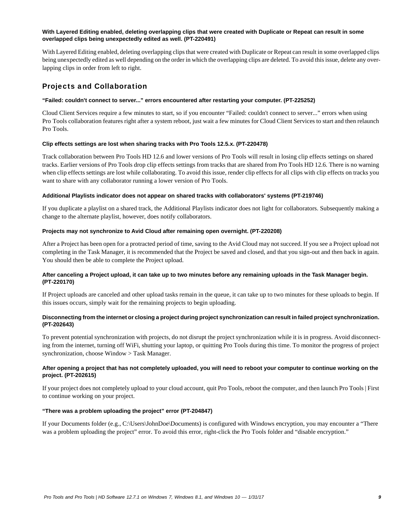### **With Layered Editing enabled, deleting overlapping clips that were created with Duplicate or Repeat can result in some overlapped clips being unexpectedly edited as well. (PT-220491)**

With Layered Editing enabled, deleting overlapping clips that were created with Duplicate or Repeat can result in some overlapped clips being unexpectedly edited as well depending on the order in which the overlapping clips are deleted. To avoid this issue, delete any overlapping clips in order from left to right.

# Projects and Collaboration

### **"Failed: couldn't connect to server..." errors encountered after restarting your computer. (PT-225252)**

Cloud Client Services require a few minutes to start, so if you encounter "Failed: couldn't connect to server..." errors when using Pro Tools collaboration features right after a system reboot, just wait a few minutes for Cloud Client Services to start and then relaunch Pro Tools.

# **Clip effects settings are lost when sharing tracks with Pro Tools 12.5.x. (PT-220478)**

Track collaboration between Pro Tools HD 12.6 and lower versions of Pro Tools will result in losing clip effects settings on shared tracks. Earlier versions of Pro Tools drop clip effects settings from tracks that are shared from Pro Tools HD 12.6. There is no warning when clip effects settings are lost while collaborating. To avoid this issue, render clip effects for all clips with clip effects on tracks you want to share with any collaborator running a lower version of Pro Tools.

### **Additional Playlists indicator does not appear on shared tracks with collaborators' systems (PT-219746)**

If you duplicate a playlist on a shared track, the Additional Playlists indicator does not light for collaborators. Subsequently making a change to the alternate playlist, however, does notify collaborators.

### **Projects may not synchronize to Avid Cloud after remaining open overnight. (PT-220208)**

After a Project has been open for a protracted period of time, saving to the Avid Cloud may not succeed. If you see a Project upload not completing in the Task Manager, it is recommended that the Project be saved and closed, and that you sign-out and then back in again. You should then be able to complete the Project upload.

# **After canceling a Project upload, it can take up to two minutes before any remaining uploads in the Task Manager begin. (PT-220170)**

If Project uploads are canceled and other upload tasks remain in the queue, it can take up to two minutes for these uploads to begin. If this issues occurs, simply wait for the remaining projects to begin uploading.

# **Disconnecting from the internet or closing a project during project synchronization can result in failed project synchronization. (PT-202643)**

To prevent potential synchronization with projects, do not disrupt the project synchronization while it is in progress. Avoid disconnecting from the internet, turning off WiFi, shutting your laptop, or quitting Pro Tools during this time. To monitor the progress of project synchronization, choose Window > Task Manager.

# **After opening a project that has not completely uploaded, you will need to reboot your computer to continue working on the project. (PT-202615)**

If your project does not completely upload to your cloud account, quit Pro Tools, reboot the computer, and then launch Pro Tools | First to continue working on your project.

# **"There was a problem uploading the project" error (PT-204847)**

If your Documents folder (e.g., C:\Users\JohnDoe\Documents) is configured with Windows encryption, you may encounter a "There was a problem uploading the project" error. To avoid this error, right-click the Pro Tools folder and "disable encryption."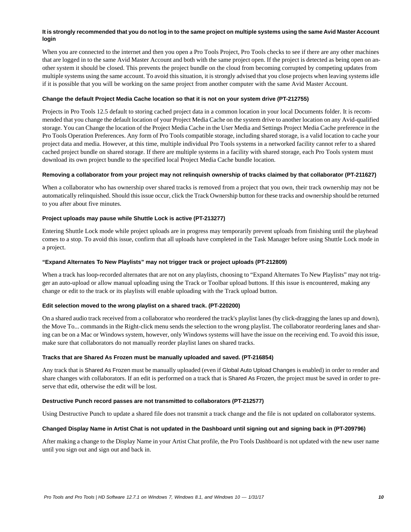# **It is strongly recommended that you do not log in to the same project on multiple systems using the same Avid Master Account login**

When you are connected to the internet and then you open a Pro Tools Project, Pro Tools checks to see if there are any other machines that are logged in to the same Avid Master Account and both with the same project open. If the project is detected as being open on another system it should be closed. This prevents the project bundle on the cloud from becoming corrupted by competing updates from multiple systems using the same account. To avoid this situation, it is strongly advised that you close projects when leaving systems idle if it is possible that you will be working on the same project from another computer with the same Avid Master Account.

### **Change the default Project Media Cache location so that it is not on your system drive (PT-212755)**

Projects in Pro Tools 12.5 default to storing cached project data in a common location in your local Documents folder. It is recommended that you change the default location of your Project Media Cache on the system drive to another location on any Avid-qualified storage. You can Change the location of the Project Media Cache in the User Media and Settings Project Media Cache preference in the Pro Tools Operation Preferences. Any form of Pro Tools compatible storage, including shared storage, is a valid location to cache your project data and media. However, at this time, multiple individual Pro Tools systems in a networked facility cannot refer to a shared cached project bundle on shared storage. If there are multiple systems in a facility with shared storage, each Pro Tools system must download its own project bundle to the specified local Project Media Cache bundle location.

### **Removing a collaborator from your project may not relinquish ownership of tracks claimed by that collaborator (PT-211627)**

When a collaborator who has ownership over shared tracks is removed from a project that you own, their track ownership may not be automatically relinquished. Should this issue occur, click the Track Ownership button for these tracks and ownership should be returned to you after about five minutes.

# **Project uploads may pause while Shuttle Lock is active (PT-213277)**

Entering Shuttle Lock mode while project uploads are in progress may temporarily prevent uploads from finishing until the playhead comes to a stop. To avoid this issue, confirm that all uploads have completed in the Task Manager before using Shuttle Lock mode in a project.

### **"Expand Alternates To New Playlists" may not trigger track or project uploads (PT-212809)**

When a track has loop-recorded alternates that are not on any playlists, choosing to "Expand Alternates To New Playlists" may not trigger an auto-upload or allow manual uploading using the Track or Toolbar upload buttons. If this issue is encountered, making any change or edit to the track or its playlists will enable uploading with the Track upload button.

# **Edit selection moved to the wrong playlist on a shared track. (PT-220200)**

On a shared audio track received from a collaborator who reordered the track's playlist lanes (by click-dragging the lanes up and down), the Move To... commands in the Right-click menu sends the selection to the wrong playlist. The collaborator reordering lanes and sharing can be on a Mac or Windows system, however, only Windows systems will have the issue on the receiving end. To avoid this issue, make sure that collaborators do not manually reorder playlist lanes on shared tracks.

#### **Tracks that are Shared As Frozen must be manually uploaded and saved. (PT-216854)**

Any track that is Shared As Frozen must be manually uploaded (even if Global Auto Upload Changes is enabled) in order to render and share changes with collaborators. If an edit is performed on a track that is Shared As Frozen, the project must be saved in order to preserve that edit, otherwise the edit will be lost.

#### **Destructive Punch record passes are not transmitted to collaborators (PT-212577)**

Using Destructive Punch to update a shared file does not transmit a track change and the file is not updated on collaborator systems.

# **Changed Display Name in Artist Chat is not updated in the Dashboard until signing out and signing back in (PT-209796)**

After making a change to the Display Name in your Artist Chat profile, the Pro Tools Dashboard is not updated with the new user name until you sign out and sign out and back in.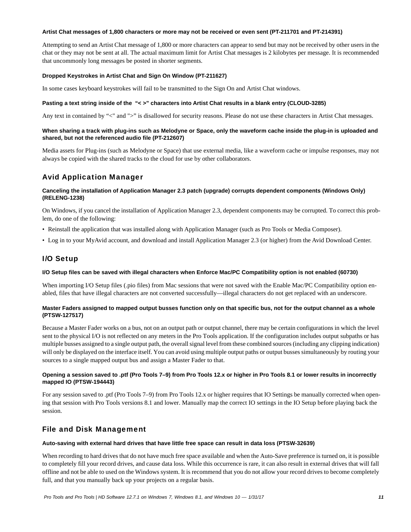#### **Artist Chat messages of 1,800 characters or more may not be received or even sent (PT-211701 and PT-214391)**

Attempting to send an Artist Chat message of 1,800 or more characters can appear to send but may not be received by other users in the chat or they may not be sent at all. The actual maximum limit for Artist Chat messages is 2 kilobytes per message. It is recommended that uncommonly long messages be posted in shorter segments.

# **Dropped Keystrokes in Artist Chat and Sign On Window (PT-211627)**

In some cases keyboard keystrokes will fail to be transmitted to the Sign On and Artist Chat windows.

### **Pasting a text string inside of the "< >" characters into Artist Chat results in a blank entry (CLOUD-3285)**

Any text in contained by "<" and ">" is disallowed for security reasons. Please do not use these characters in Artist Chat messages.

### **When sharing a track with plug-ins such as Melodyne or Space, only the waveform cache inside the plug-in is uploaded and shared, but not the referenced audio file (PT-212607)**

Media assets for Plug-ins (such as Melodyne or Space) that use external media, like a waveform cache or impulse responses, may not always be copied with the shared tracks to the cloud for use by other collaborators.

# Avid Application Manager

### **Canceling the installation of Application Manager 2.3 patch (upgrade) corrupts dependent components (Windows Only) (RELENG-1238)**

On Windows, if you cancel the installation of Application Manager 2.3, dependent components may be corrupted. To correct this problem, do one of the following:

- Reinstall the application that was installed along with Application Manager (such as Pro Tools or Media Composer).
- Log in to your MyAvid account, and download and install Application Manager 2.3 (or higher) from the Avid Download Center.

# I/O Setup

#### **I/O Setup files can be saved with illegal characters when Enforce Mac/PC Compatibility option is not enabled (60730)**

When importing I/O Setup files (.pio files) from Mac sessions that were not saved with the Enable Mac/PC Compatibility option enabled, files that have illegal characters are not converted successfully—illegal characters do not get replaced with an underscore.

# **Master Faders assigned to mapped output busses function only on that specific bus, not for the output channel as a whole (PTSW-127517)**

Because a Master Fader works on a bus, not on an output path or output channel, there may be certain configurations in which the level sent to the physical I/O is not reflected on any meters in the Pro Tools application. If the configuration includes output subpaths or has multiple busses assigned to a single output path, the overall signal level from these combined sources (including any clipping indication) will only be displayed on the interface itself. You can avoid using multiple output paths or output busses simultaneously by routing your sources to a single mapped output bus and assign a Master Fader to that.

# **Opening a session saved to .ptf (Pro Tools 7–9) from Pro Tools 12.x or higher in Pro Tools 8.1 or lower results in incorrectly mapped IO (PTSW-194443)**

For any session saved to .ptf (Pro Tools 7–9) from Pro Tools 12.x or higher requires that IO Settings be manually corrected when opening that session with Pro Tools versions 8.1 and lower. Manually map the correct IO settings in the IO Setup before playing back the session.

# File and Disk Management

# **Auto-saving with external hard drives that have little free space can result in data loss (PTSW-32639)**

When recording to hard drives that do not have much free space available and when the Auto-Save preference is turned on, it is possible to completely fill your record drives, and cause data loss. While this occurrence is rare, it can also result in external drives that will fall offline and not be able to used on the Windows system. It is recommend that you do not allow your record drives to become completely full, and that you manually back up your projects on a regular basis.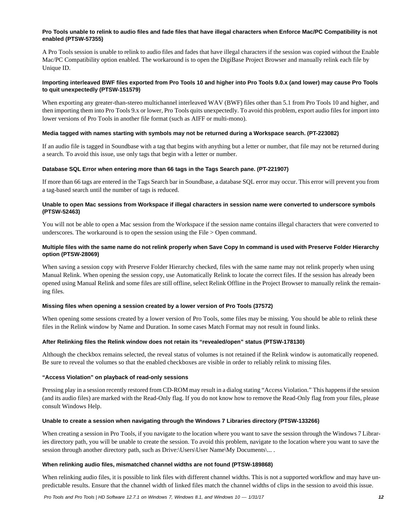### **Pro Tools unable to relink to audio files and fade files that have illegal characters when Enforce Mac/PC Compatibility is not enabled (PTSW-57355)**

A Pro Tools session is unable to relink to audio files and fades that have illegal characters if the session was copied without the Enable Mac/PC Compatibility option enabled. The workaround is to open the DigiBase Project Browser and manually relink each file by Unique ID.

# **Importing interleaved BWF files exported from Pro Tools 10 and higher into Pro Tools 9.0.x (and lower) may cause Pro Tools to quit unexpectedly (PTSW-151579)**

When exporting any greater-than-stereo multichannel interleaved WAV (BWF) files other than 5.1 from Pro Tools 10 and higher, and then importing them into Pro Tools 9.x or lower, Pro Tools quits unexpectedly. To avoid this problem, export audio files for import into lower versions of Pro Tools in another file format (such as AIFF or multi-mono).

#### **Media tagged with names starting with symbols may not be returned during a Workspace search. (PT-223082)**

If an audio file is tagged in Soundbase with a tag that begins with anything but a letter or number, that file may not be returned during a search. To avoid this issue, use only tags that begin with a letter or number.

### **Database SQL Error when entering more than 66 tags in the Tags Search pane. (PT-221907)**

If more than 66 tags are entered in the Tags Search bar in Soundbase, a database SQL error may occur. This error will prevent you from a tag-based search until the number of tags is reduced.

### **Unable to open Mac sessions from Workspace if illegal characters in session name were converted to underscore symbols (PTSW-52463)**

You will not be able to open a Mac session from the Workspace if the session name contains illegal characters that were converted to underscores. The workaround is to open the session using the File > Open command.

### **Multiple files with the same name do not relink properly when Save Copy In command is used with Preserve Folder Hierarchy option (PTSW-28069)**

When saving a session copy with Preserve Folder Hierarchy checked, files with the same name may not relink properly when using Manual Relink. When opening the session copy, use Automatically Relink to locate the correct files. If the session has already been opened using Manual Relink and some files are still offline, select Relink Offline in the Project Browser to manually relink the remaining files.

#### **Missing files when opening a session created by a lower version of Pro Tools (37572)**

When opening some sessions created by a lower version of Pro Tools, some files may be missing. You should be able to relink these files in the Relink window by Name and Duration. In some cases Match Format may not result in found links.

#### **After Relinking files the Relink window does not retain its "revealed/open" status (PTSW-178130)**

Although the checkbox remains selected, the reveal status of volumes is not retained if the Relink window is automatically reopened. Be sure to reveal the volumes so that the enabled checkboxes are visible in order to reliably relink to missing files.

### **"Access Violation" on playback of read-only sessions**

Pressing play in a session recently restored from CD-ROM may result in a dialog stating "Access Violation." This happens if the session (and its audio files) are marked with the Read-Only flag. If you do not know how to remove the Read-Only flag from your files, please consult Windows Help.

#### **Unable to create a session when navigating through the Windows 7 Libraries directory (PTSW-133266)**

When creating a session in Pro Tools, if you navigate to the location where you want to save the session through the Windows 7 Libraries directory path, you will be unable to create the session. To avoid this problem, navigate to the location where you want to save the session through another directory path, such as Drive:\Users\User Name\My Documents\... .

#### **When relinking audio files, mismatched channel widths are not found (PTSW-189868)**

When relinking audio files, it is possible to link files with different channel widths. This is not a supported workflow and may have unpredictable results. Ensure that the channel width of linked files match the channel widths of clips in the session to avoid this issue.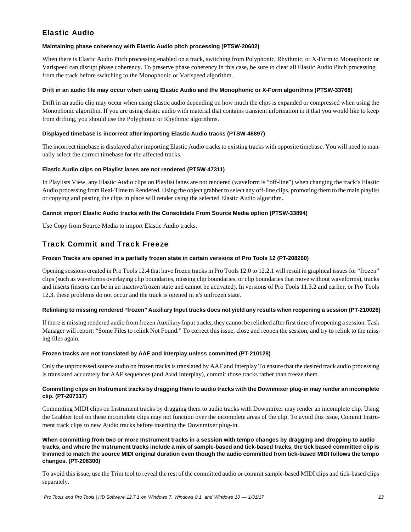# Elastic Audio

# **Maintaining phase coherency with Elastic Audio pitch processing (PTSW-20602)**

When there is Elastic Audio Pitch processing enabled on a track, switching from Polyphonic, Rhythmic, or X-Form to Monophonic or Varispeed can disrupt phase coherency. To preserve phase coherency in this case, be sure to clear all Elastic Audio Pitch processing from the track before switching to the Monophonic or Varispeed algorithm.

# **Drift in an audio file may occur when using Elastic Audio and the Monophonic or X-Form algorithms (PTSW-33768)**

Drift in an audio clip may occur when using elastic audio depending on how much the clips is expanded or compressed when using the Monophonic algorithm. If you are using elastic audio with material that contains transient information in it that you would like to keep from drifting, you should use the Polyphonic or Rhythmic algorithms.

# **Displayed timebase is incorrect after importing Elastic Audio tracks (PTSW-46897)**

The incorrect timebase is displayed after importing Elastic Audio tracks to existing tracks with opposite timebase. You will need to manually select the correct timebase for the affected tracks.

# **Elastic Audio clips on Playlist lanes are not rendered (PTSW-47311)**

In Playlists View, any Elastic Audio clips on Playlist lanes are not rendered (waveform is "off-line") when changing the track's Elastic Audio processing from Real-Time to Rendered. Using the object grabber to select any off-line clips, promoting them to the main playlist or copying and pasting the clips in place will render using the selected Elastic Audio algorithm.

# **Cannot import Elastic Audio tracks with the Consolidate From Source Media option (PTSW-33894)**

Use Copy from Source Media to import Elastic Audio tracks.

# Track Commit and Track Freeze

# **Frozen Tracks are opened in a partially frozen state in certain versions of Pro Tools 12 (PT-208260)**

Opening sessions created in Pro Tools 12.4 that have frozen tracks in Pro Tools 12.0 to 12.2.1 will result in graphical issues for "frozen" clips (such as waveforms overlaying clip boundaries, missing clip boundaries, or clip boundaries that move without waveforms), tracks and inserts (inserts can be in an inactive/frozen state and cannot be activated). In versions of Pro Tools 11.3.2 and earlier, or Pro Tools 12.3, these problems do not occur and the track is opened in it's unfrozen state.

# **Relinking to missing rendered "frozen" Auxiliary Input tracks does not yield any results when reopening a session (PT-210026)**

If there is missing rendered audio from frozen Auxiliary Input tracks, they cannot be relinked after first time of reopening a session. Task Manager will report: "Some Files to relink Not Found." To correct this issue, close and reopen the session, and try to relink to the missing files again.

# **Frozen tracks are not translated by AAF and Interplay unless committed (PT-210128)**

Only the unprocessed source audio on frozen tracks is translated by AAF and Interplay To ensure that the desired track audio processing is translated accurately for AAF sequences (and Avid Interplay), commit those tracks rather than freeze them.

# **Committing clips on Instrument tracks by dragging them to audio tracks with the Downmixer plug-in may render an incomplete clip. (PT-207317)**

Committing MIDI clips on Instrument tracks by dragging them to audio tracks with Downmixer may render an incomplete clip. Using the Grabber tool on these incomplete clips may not function over the incomplete areas of the clip. To avoid this issue, Commit Instrument track clips to new Audio tracks before inserting the Downmixer plug-in.

### **When committing from two or more Instrument tracks in a session with tempo changes by dragging and dropping to audio tracks, and where the Instrument tracks include a mix of sample-based and tick-based tracks, the tick based committed clip is trimmed to match the source MIDI original duration even though the audio committed from tick-based MIDI follows the tempo changes. (PT-208300)**

To avoid this issue, use the Trim tool to reveal the rest of the committed audio or commit sample-based MIDI clips and tick-based clips separately.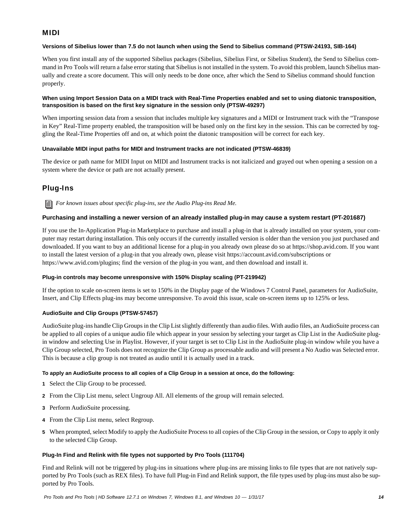# MIDI

# **Versions of Sibelius lower than 7.5 do not launch when using the Send to Sibelius command (PTSW-24193, SIB-164)**

When you first install any of the supported Sibelius packages (Sibelius, Sibelius First, or Sibelius Student), the Send to Sibelius command in Pro Tools will return a false error stating that Sibelius is not installed in the system. To avoid this problem, launch Sibelius manually and create a score document. This will only needs to be done once, after which the Send to Sibelius command should function properly.

# **When using Import Session Data on a MIDI track with Real-Time Properties enabled and set to using diatonic transposition, transposition is based on the first key signature in the session only (PTSW-49297)**

When importing session data from a session that includes multiple key signatures and a MIDI or Instrument track with the "Transpose in Key" Real-Time property enabled, the transposition will be based only on the first key in the session. This can be corrected by toggling the Real-Time Properties off and on, at which point the diatonic transposition will be correct for each key.

# **Unavailable MIDI input paths for MIDI and Instrument tracks are not indicated (PTSW-46839)**

The device or path name for MIDI Input on MIDI and Instrument tracks is not italicized and grayed out when opening a session on a system where the device or path are not actually present.

# Plug-Ins

*For known issues about specific plug-ins, see the Audio Plug-ins Read Me.*

# **Purchasing and installing a newer version of an already installed plug-in may cause a system restart (PT-201687)**

If you use the In-Application Plug-in Marketplace to purchase and install a plug-in that is already installed on your system, your computer may restart during installation. This only occurs if the currently installed version is older than the version you just purchased and downloaded. If you want to buy an additional license for a plug-in you already own please do so at https://shop.avid.com. If you want to install the latest version of a plug-in that you already own, please visit https://account.avid.com/subscriptions or https://www.avid.com/plugins; find the version of the plug-in you want, and then download and install it.

# **Plug-in controls may become unresponsive with 150% Display scaling (PT-219942)**

If the option to scale on-screen items is set to 150% in the Display page of the Windows 7 Control Panel, parameters for AudioSuite, Insert, and Clip Effects plug-ins may become unresponsive. To avoid this issue, scale on-screen items up to 125% or less.

# **AudioSuite and Clip Groups (PTSW-57457)**

AudioSuite plug-ins handle Clip Groups in the Clip List slightly differently than audio files. With audio files, an AudioSuite process can be applied to all copies of a unique audio file which appear in your session by selecting your target as Clip List in the AudioSuite plugin window and selecting Use in Playlist. However, if your target is set to Clip List in the AudioSuite plug-in window while you have a Clip Group selected, Pro Tools does not recognize the Clip Group as processable audio and will present a No Audio was Selected error. This is because a clip group is not treated as audio until it is actually used in a track.

# **To apply an AudioSuite process to all copies of a Clip Group in a session at once, do the following:**

- **1** Select the Clip Group to be processed.
- **2** From the Clip List menu, select Ungroup All. All elements of the group will remain selected.
- **3** Perform AudioSuite processing.
- **4** From the Clip List menu, select Regroup.
- **5** When prompted, select Modify to apply the AudioSuite Process to all copies of the Clip Group in the session, or Copy to apply it only to the selected Clip Group.

# **Plug-In Find and Relink with file types not supported by Pro Tools (111704)**

Find and Relink will not be triggered by plug-ins in situations where plug-ins are missing links to file types that are not natively supported by Pro Tools (such as REX files). To have full Plug-in Find and Relink support, the file types used by plug-ins must also be supported by Pro Tools.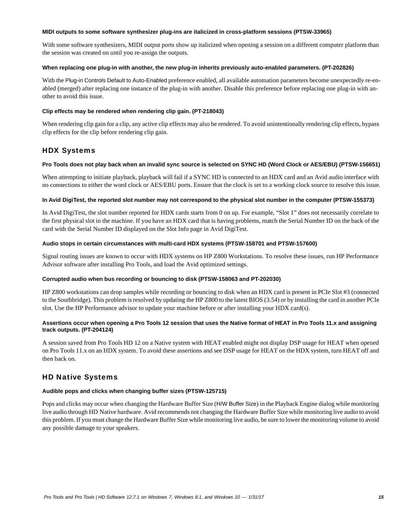### **MIDI outputs to some software synthesizer plug-ins are italicized in cross-platform sessions (PTSW-33965)**

With some software synthesizers, MIDI output ports show up italicized when opening a session on a different computer platform than the session was created on until you re-assign the outputs.

### **When replacing one plug-in with another, the new plug-in inherits previously auto-enabled parameters. (PT-202826)**

With the Plug-in Controls Default to Auto-Enabled preference enabled, all available automation parameters become unexpectedly re-enabled (merged) after replacing one instance of the plug-in with another. Disable this preference before replacing one plug-in with another to avoid this issue.

# **Clip effects may be rendered when rendering clip gain. (PT-218043)**

When rendering clip gain for a clip, any active clip effects may also be rendered. To avoid unintentionally rendering clip effects, bypass clip effects for the clip before rendering clip gain.

# HDX Systems

# **Pro Tools does not play back when an invalid sync source is selected on SYNC HD (Word Clock or AES/EBU) (PTSW-156651)**

When attempting to initiate playback, playback will fail if a SYNC HD is connected to an HDX card and an Avid audio interface with no connections to either the word clock or AES/EBU ports. Ensure that the clock is set to a working clock source to resolve this issue.

# **In Avid DigiTest, the reported slot number may not correspond to the physical slot number in the computer (PTSW-155373)**

In Avid DigiTest, the slot number reported for HDX cards starts from 0 on up. For example, "Slot 1" does not necessarily correlate to the first physical slot in the machine. If you have an HDX card that is having problems, match the Serial Number ID on the back of the card with the Serial Number ID displayed on the Slot Info page in Avid DigiTest.

# **Audio stops in certain circumstances with multi-card HDX systems (PTSW-158701 and PTSW-157600)**

Signal routing issues are known to occur with HDX systems on HP Z800 Workstations. To resolve these issues, run HP Performance Advisor software after installing Pro Tools, and load the Avid optimized settings.

# **Corrupted audio when bus recording or bouncing to disk (PTSW-158063 and PT-202030)**

HP Z800 workstations can drop samples while recording or bouncing to disk when an HDX card is present in PCIe Slot #3 (connected to the Southbridge). This problem is resolved by updating the HP Z800 to the latest BIOS (3.54) or by installing the card in another PCIe slot. Use the HP Performance advisor to update your machine before or after installing your HDX card(s).

# **Assertions occur when opening a Pro Tools 12 session that uses the Native format of HEAT in Pro Tools 11.x and assigning track outputs. (PT-204124)**

A session saved from Pro Tools HD 12 on a Native system with HEAT enabled might not display DSP usage for HEAT when opened on Pro Tools 11.x on an HDX system. To avoid these assertions and see DSP usage for HEAT on the HDX system, turn HEAT off and then back on.

# HD Native Systems

# **Audible pops and clicks when changing buffer sizes (PTSW-125715)**

Pops and clicks may occur when changing the Hardware Buffer Size (H/W Buffer Size) in the Playback Engine dialog while monitoring live audio through HD Native hardware. Avid recommends not changing the Hardware Buffer Size while monitoring live audio to avoid this problem. If you must change the Hardware Buffer Size while monitoring live audio, be sure to lower the monitoring volume to avoid any possible damage to your speakers.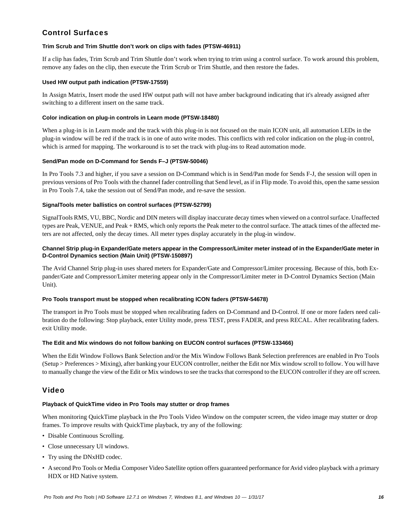# Control Surfaces

# **Trim Scrub and Trim Shuttle don't work on clips with fades (PTSW-46911)**

If a clip has fades, Trim Scrub and Trim Shuttle don't work when trying to trim using a control surface. To work around this problem, remove any fades on the clip, then execute the Trim Scrub or Trim Shuttle, and then restore the fades.

# **Used HW output path indication (PTSW-17559)**

In Assign Matrix, Insert mode the used HW output path will not have amber background indicating that it's already assigned after switching to a different insert on the same track.

# **Color indication on plug-in controls in Learn mode (PTSW-18480)**

When a plug-in is in Learn mode and the track with this plug-in is not focused on the main ICON unit, all automation LEDs in the plug-in window will be red if the track is in one of auto write modes. This conflicts with red color indication on the plug-in control, which is armed for mapping. The workaround is to set the track with plug-ins to Read automation mode.

# **Send/Pan mode on D-Command for Sends F–J (PTSW-50046)**

In Pro Tools 7.3 and higher, if you save a session on D-Command which is in Send/Pan mode for Sends F-J, the session will open in previous versions of Pro Tools with the channel fader controlling that Send level, as if in Flip mode. To avoid this, open the same session in Pro Tools 7.4, take the session out of Send/Pan mode, and re-save the session.

# **SignalTools meter ballistics on control surfaces (PTSW-52799)**

SignalTools RMS, VU, BBC, Nordic and DIN meters will display inaccurate decay times when viewed on a control surface. Unaffected types are Peak, VENUE, and Peak + RMS, which only reports the Peak meter to the control surface. The attack times of the affected meters are not affected, only the decay times. All meter types display accurately in the plug-in window.

# **Channel Strip plug-in Expander/Gate meters appear in the Compressor/Limiter meter instead of in the Expander/Gate meter in D-Control Dynamics section (Main Unit) (PTSW-150897)**

The Avid Channel Strip plug-in uses shared meters for Expander/Gate and Compressor/Limiter processing. Because of this, both Expander/Gate and Compressor/Limiter metering appear only in the Compressor/Limiter meter in D-Control Dynamics Section (Main Unit).

# **Pro Tools transport must be stopped when recalibrating ICON faders (PTSW-54678)**

The transport in Pro Tools must be stopped when recalibrating faders on D-Command and D-Control. If one or more faders need calibration do the following: Stop playback, enter Utility mode, press TEST, press FADER, and press RECAL. After recalibrating faders. exit Utility mode.

# **The Edit and Mix windows do not follow banking on EUCON control surfaces (PTSW-133466)**

When the Edit Window Follows Bank Selection and/or the Mix Window Follows Bank Selection preferences are enabled in Pro Tools (Setup > Preferences > Mixing), after banking your EUCON controller, neither the Edit nor Mix window scroll to follow. You will have to manually change the view of the Edit or Mix windows to see the tracks that correspond to the EUCON controller if they are off screen.

# Video

# **Playback of QuickTime video in Pro Tools may stutter or drop frames**

When monitoring QuickTime playback in the Pro Tools Video Window on the computer screen, the video image may stutter or drop frames. To improve results with QuickTime playback, try any of the following:

- Disable Continuous Scrolling.
- Close unnecessary UI windows.
- Try using the DNxHD codec.
- A second Pro Tools or Media Composer Video Satellite option offers guaranteed performance for Avid video playback with a primary HDX or HD Native system.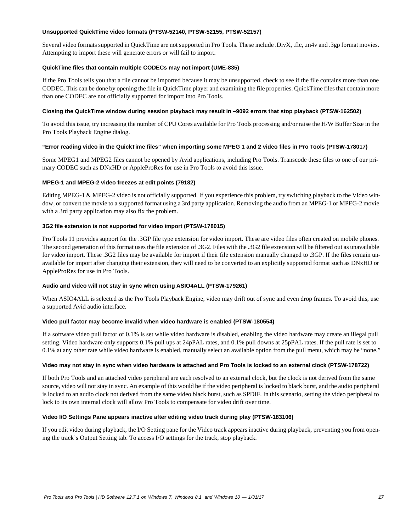### **Unsupported QuickTime video formats (PTSW-52140, PTSW-52155, PTSW-52157)**

Several video formats supported in QuickTime are not supported in Pro Tools. These include .DivX, .flc, .m4v and .3gp format movies. Attempting to import these will generate errors or will fail to import.

### **QuickTime files that contain multiple CODECs may not import (UME-835)**

If the Pro Tools tells you that a file cannot be imported because it may be unsupported, check to see if the file contains more than one CODEC. This can be done by opening the file in QuickTime player and examining the file properties. QuickTime files that contain more than one CODEC are not officially supported for import into Pro Tools.

### **Closing the QuickTime window during session playback may result in –9092 errors that stop playback (PTSW-162502)**

To avoid this issue, try increasing the number of CPU Cores available for Pro Tools processing and/or raise the H/W Buffer Size in the Pro Tools Playback Engine dialog.

### **"Error reading video in the QuickTime files" when importing some MPEG 1 and 2 video files in Pro Tools (PTSW-178017)**

Some MPEG1 and MPEG2 files cannot be opened by Avid applications, including Pro Tools. Transcode these files to one of our primary CODEC such as DNxHD or AppleProRes for use in Pro Tools to avoid this issue.

### **MPEG-1 and MPEG-2 video freezes at edit points (79182)**

Editing MPEG-1 & MPEG-2 video is not officially supported. If you experience this problem, try switching playback to the Video window, or convert the movie to a supported format using a 3rd party application. Removing the audio from an MPEG-1 or MPEG-2 movie with a 3rd party application may also fix the problem.

### **3G2 file extension is not supported for video import (PTSW-178015)**

Pro Tools 11 provides support for the .3GP file type extension for video import. These are video files often created on mobile phones. The second generation of this format uses the file extension of .3G2. Files with the .3G2 file extension will be filtered out as unavailable for video import. These .3G2 files may be available for import if their file extension manually changed to .3GP. If the files remain unavailable for import after changing their extension, they will need to be converted to an explicitly supported format such as DNxHD or AppleProRes for use in Pro Tools.

# **Audio and video will not stay in sync when using ASIO4ALL (PTSW-179261)**

When ASIO4ALL is selected as the Pro Tools Playback Engine, video may drift out of sync and even drop frames. To avoid this, use a supported Avid audio interface.

#### **Video pull factor may become invalid when video hardware is enabled (PTSW-180554)**

If a software video pull factor of 0.1% is set while video hardware is disabled, enabling the video hardware may create an illegal pull setting. Video hardware only supports 0.1% pull ups at 24pPAL rates, and 0.1% pull downs at 25pPAL rates. If the pull rate is set to 0.1% at any other rate while video hardware is enabled, manually select an available option from the pull menu, which may be "none."

#### **Video may not stay in sync when video hardware is attached and Pro Tools is locked to an external clock (PTSW-178722)**

If both Pro Tools and an attached video peripheral are each resolved to an external clock, but the clock is not derived from the same source, video will not stay in sync. An example of this would be if the video peripheral is locked to black burst, and the audio peripheral is locked to an audio clock not derived from the same video black burst, such as SPDIF. In this scenario, setting the video peripheral to lock to its own internal clock will allow Pro Tools to compensate for video drift over time.

### **Video I/O Settings Pane appears inactive after editing video track during play (PTSW-183106)**

If you edit video during playback, the I/O Setting pane for the Video track appears inactive during playback, preventing you from opening the track's Output Setting tab. To access I/O settings for the track, stop playback.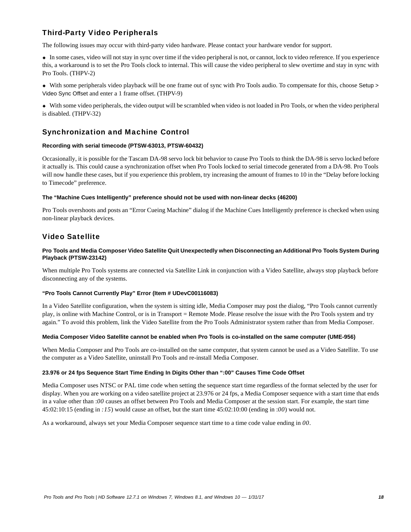# Third-Party Video Peripherals

The following issues may occur with third-party video hardware. Please contact your hardware vendor for support.

 In some cases, video will not stay in sync over time if the video peripheral is not, or cannot, lock to video reference. If you experience this, a workaround is to set the Pro Tools clock to internal. This will cause the video peripheral to slew overtime and stay in sync with Pro Tools. (THPV-2)

 With some peripherals video playback will be one frame out of sync with Pro Tools audio. To compensate for this, choose Setup > Video Sync Offset and enter a 1 frame offset. (THPV-9)

 With some video peripherals, the video output will be scrambled when video is not loaded in Pro Tools, or when the video peripheral is disabled. (THPV-32)

# Synchronization and Machine Control

### **Recording with serial timecode (PTSW-63013, PTSW-60432)**

Occasionally, it is possible for the Tascam DA-98 servo lock bit behavior to cause Pro Tools to think the DA-98 is servo locked before it actually is. This could cause a synchronization offset when Pro Tools locked to serial timecode generated from a DA-98. Pro Tools will now handle these cases, but if you experience this problem, try increasing the amount of frames to 10 in the "Delay before locking to Timecode" preference.

### **The "Machine Cues Intelligently" preference should not be used with non-linear decks (46200)**

Pro Tools overshoots and posts an "Error Cueing Machine" dialog if the Machine Cues Intelligently preference is checked when using non-linear playback devices.

# Video Satellite

### **Pro Tools and Media Composer Video Satellite Quit Unexpectedly when Disconnecting an Additional Pro Tools System During Playback (PTSW-23142)**

When multiple Pro Tools systems are connected via Satellite Link in conjunction with a Video Satellite, always stop playback before disconnecting any of the systems.

# **"Pro Tools Cannot Currently Play" Error (Item # UDevC00116083)**

In a Video Satellite configuration, when the system is sitting idle, Media Composer may post the dialog, "Pro Tools cannot currently play, is online with Machine Control, or is in Transport = Remote Mode. Please resolve the issue with the Pro Tools system and try again." To avoid this problem, link the Video Satellite from the Pro Tools Administrator system rather than from Media Composer.

#### **Media Composer Video Satellite cannot be enabled when Pro Tools is co-installed on the same computer (UME-956)**

When Media Composer and Pro Tools are co-installed on the same computer, that system cannot be used as a Video Satellite. To use the computer as a Video Satellite, uninstall Pro Tools and re-install Media Composer.

#### **23.976 or 24 fps Sequence Start Time Ending In Digits Other than ":00" Causes Time Code Offset**

Media Composer uses NTSC or PAL time code when setting the sequence start time regardless of the format selected by the user for display. When you are working on a video satellite project at 23.976 or 24 fps, a Media Composer sequence with a start time that ends in a value other than :*00* causes an offset between Pro Tools and Media Composer at the session start. For example, the start time 45:02:10:15 (ending in *:15*) would cause an offset, but the start time 45:02:10:00 (ending in :*00*) would not.

As a workaround, always set your Media Composer sequence start time to a time code value ending in *00*.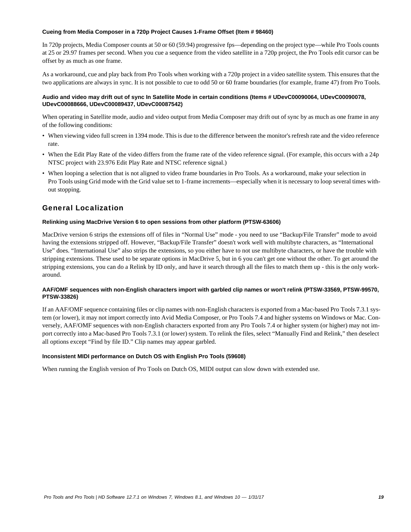### **Cueing from Media Composer in a 720p Project Causes 1-Frame Offset (Item # 98460)**

In 720p projects, Media Composer counts at 50 or 60 (59.94) progressive fps—depending on the project type—while Pro Tools counts at 25 or 29.97 frames per second. When you cue a sequence from the video satellite in a 720p project, the Pro Tools edit cursor can be offset by as much as one frame.

As a workaround, cue and play back from Pro Tools when working with a 720p project in a video satellite system. This ensures that the two applications are always in sync. It is not possible to cue to odd 50 or 60 frame boundaries (for example, frame 47) from Pro Tools.

### **Audio and video may drift out of sync In Satellite Mode in certain conditions (Items # UDevC00090064, UDevC00090078, UDevC00088666, UDevC00089437, UDevC00087542)**

When operating in Satellite mode, audio and video output from Media Composer may drift out of sync by as much as one frame in any of the following conditions:

- When viewing video full screen in 1394 mode. This is due to the difference between the monitor's refresh rate and the video reference rate.
- When the Edit Play Rate of the video differs from the frame rate of the video reference signal. (For example, this occurs with a 24p NTSC project with 23.976 Edit Play Rate and NTSC reference signal.)
- When looping a selection that is not aligned to video frame boundaries in Pro Tools. As a workaround, make your selection in Pro Tools using Grid mode with the Grid value set to 1-frame increments—especially when it is necessary to loop several times without stopping.

# General Localization

# **Relinking using MacDrive Version 6 to open sessions from other platform (PTSW-63606)**

MacDrive version 6 strips the extensions off of files in "Normal Use" mode - you need to use "Backup/File Transfer" mode to avoid having the extensions stripped off. However, "Backup/File Transfer" doesn't work well with multibyte characters, as "International Use" does. "International Use" also strips the extensions, so you either have to not use multibyte characters, or have the trouble with stripping extensions. These used to be separate options in MacDrive 5, but in 6 you can't get one without the other. To get around the stripping extensions, you can do a Relink by ID only, and have it search through all the files to match them up - this is the only workaround.

# **AAF/OMF sequences with non-English characters import with garbled clip names or won't relink (PTSW-33569, PTSW-99570, PTSW-33826)**

If an AAF/OMF sequence containing files or clip names with non-English characters is exported from a Mac-based Pro Tools 7.3.1 system (or lower), it may not import correctly into Avid Media Composer, or Pro Tools 7.4 and higher systems on Windows or Mac. Conversely, AAF/OMF sequences with non-English characters exported from any Pro Tools 7.4 or higher system (or higher) may not import correctly into a Mac-based Pro Tools 7.3.1 (or lower) system. To relink the files, select "Manually Find and Relink," then deselect all options except "Find by file ID." Clip names may appear garbled.

# **Inconsistent MIDI performance on Dutch OS with English Pro Tools (59608)**

When running the English version of Pro Tools on Dutch OS, MIDI output can slow down with extended use.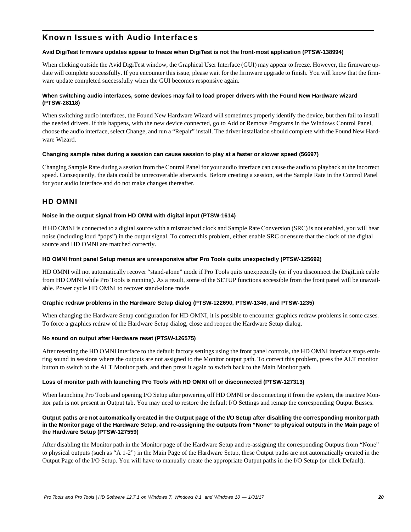# Known Issues with Audio Interfaces

# **Avid DigiTest firmware updates appear to freeze when DigiTest is not the front-most application (PTSW-138994)**

When clicking outside the Avid DigiTest window, the Graphical User Interface (GUI) may appear to freeze. However, the firmware update will complete successfully. If you encounter this issue, please wait for the firmware upgrade to finish. You will know that the firmware update completed successfully when the GUI becomes responsive again.

# **When switching audio interfaces, some devices may fail to load proper drivers with the Found New Hardware wizard (PTSW-28118)**

When switching audio interfaces, the Found New Hardware Wizard will sometimes properly identify the device, but then fail to install the needed drivers. If this happens, with the new device connected, go to Add or Remove Programs in the Windows Control Panel, choose the audio interface, select Change, and run a "Repair" install. The driver installation should complete with the Found New Hardware Wizard.

### **Changing sample rates during a session can cause session to play at a faster or slower speed (56697)**

Changing Sample Rate during a session from the Control Panel for your audio interface can cause the audio to playback at the incorrect speed. Consequently, the data could be unrecoverable afterwards. Before creating a session, set the Sample Rate in the Control Panel for your audio interface and do not make changes thereafter.

# HD OMNI

### **Noise in the output signal from HD OMNI with digital input (PTSW-1614)**

If HD OMNI is connected to a digital source with a mismatched clock and Sample Rate Conversion (SRC) is not enabled, you will hear noise (including loud "pops") in the output signal. To correct this problem, either enable SRC or ensure that the clock of the digital source and HD OMNI are matched correctly.

### **HD OMNI front panel Setup menus are unresponsive after Pro Tools quits unexpectedly (PTSW-125692)**

HD OMNI will not automatically recover "stand-alone" mode if Pro Tools quits unexpectedly (or if you disconnect the DigiLink cable from HD OMNI while Pro Tools is running). As a result, some of the SETUP functions accessible from the front panel will be unavailable. Power cycle HD OMNI to recover stand-alone mode.

#### **Graphic redraw problems in the Hardware Setup dialog (PTSW-122690, PTSW-1346, and PTSW-1235)**

When changing the Hardware Setup configuration for HD OMNI, it is possible to encounter graphics redraw problems in some cases. To force a graphics redraw of the Hardware Setup dialog, close and reopen the Hardware Setup dialog.

#### **No sound on output after Hardware reset (PTSW-126575)**

After resetting the HD OMNI interface to the default factory settings using the front panel controls, the HD OMNI interface stops emitting sound in sessions where the outputs are not assigned to the Monitor output path. To correct this problem, press the ALT monitor button to switch to the ALT Monitor path, and then press it again to switch back to the Main Monitor path.

#### **Loss of monitor path with launching Pro Tools with HD OMNI off or disconnected (PTSW-127313)**

When launching Pro Tools and opening I/O Setup after powering off HD OMNI or disconnecting it from the system, the inactive Monitor path is not present in Output tab. You may need to restore the default I/O Settings and remap the corresponding Output Busses.

### **Output paths are not automatically created in the Output page of the I/O Setup after disabling the corresponding monitor path in the Monitor page of the Hardware Setup, and re-assigning the outputs from "None" to physical outputs in the Main page of the Hardware Setup (PTSW-127559)**

After disabling the Monitor path in the Monitor page of the Hardware Setup and re-assigning the corresponding Outputs from "None" to physical outputs (such as "A 1-2") in the Main Page of the Hardware Setup, these Output paths are not automatically created in the Output Page of the I/O Setup. You will have to manually create the appropriate Output paths in the I/O Setup (or click Default).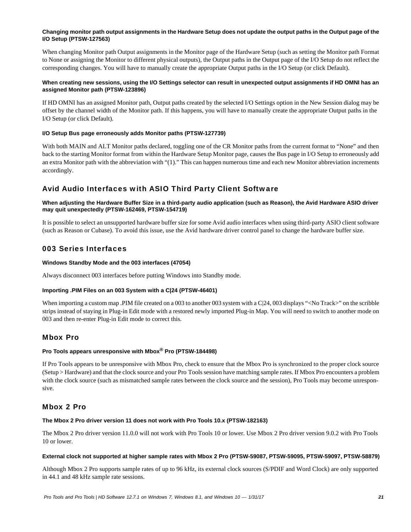# **Changing monitor path output assignments in the Hardware Setup does not update the output paths in the Output page of the I/O Setup (PTSW-127563)**

When changing Monitor path Output assignments in the Monitor page of the Hardware Setup (such as setting the Monitor path Format to None or assigning the Monitor to different physical outputs), the Output paths in the Output page of the I/O Setup do not reflect the corresponding changes. You will have to manually create the appropriate Output paths in the I/O Setup (or click Default).

# **When creating new sessions, using the I/O Settings selector can result in unexpected output assignments if HD OMNI has an assigned Monitor path (PTSW-123896)**

If HD OMNI has an assigned Monitor path, Output paths created by the selected I/O Settings option in the New Session dialog may be offset by the channel width of the Monitor path. If this happens, you will have to manually create the appropriate Output paths in the I/O Setup (or click Default).

# **I/O Setup Bus page erroneously adds Monitor paths (PTSW-127739)**

With both MAIN and ALT Monitor paths declared, toggling one of the CR Monitor paths from the current format to "None" and then back to the starting Monitor format from within the Hardware Setup Monitor page, causes the Bus page in I/O Setup to erroneously add an extra Monitor path with the abbreviation with "(1)." This can happen numerous time and each new Monitor abbreviation increments accordingly.

# Avid Audio Interfaces with ASIO Third Party Client Software

# **When adjusting the Hardware Buffer Size in a third-party audio application (such as Reason), the Avid Hardware ASIO driver may quit unexpectedly (PTSW-162469, PTSW-154719)**

It is possible to select an unsupported hardware buffer size for some Avid audio interfaces when using third-party ASIO client software (such as Reason or Cubase). To avoid this issue, use the Avid hardware driver control panel to change the hardware buffer size.

# 003 Series Interfaces

# **Windows Standby Mode and the 003 interfaces (47054)**

Always disconnect 003 interfaces before putting Windows into Standby mode.

# **Importing .PIM Files on an 003 System with a C|24 (PTSW-46401)**

When importing a custom map .PIM file created on a 003 to another 003 system with a C|24, 003 displays "<No Track>" on the scribble strips instead of staying in Plug-in Edit mode with a restored newly imported Plug-in Map. You will need to switch to another mode on 003 and then re-enter Plug-in Edit mode to correct this.

# Mbox Pro

# **Pro Tools appears unresponsive with Mbox® Pro (PTSW-184498)**

If Pro Tools appears to be unresponsive with Mbox Pro, check to ensure that the Mbox Pro is synchronized to the proper clock source (Setup > Hardware) and that the clock source and your Pro Tools session have matching sample rates. If Mbox Pro encounters a problem with the clock source (such as mismatched sample rates between the clock source and the session), Pro Tools may become unresponsive.

# Mbox 2 Pro

# **The Mbox 2 Pro driver version 11 does not work with Pro Tools 10.x (PTSW-182163)**

The Mbox 2 Pro driver version 11.0.0 will not work with Pro Tools 10 or lower. Use Mbox 2 Pro driver version 9.0.2 with Pro Tools 10 or lower.

# **External clock not supported at higher sample rates with Mbox 2 Pro (PTSW-59087, PTSW-59095, PTSW-59097, PTSW-58879)**

Although Mbox 2 Pro supports sample rates of up to 96 kHz, its external clock sources (S/PDIF and Word Clock) are only supported in 44.1 and 48 kHz sample rate sessions.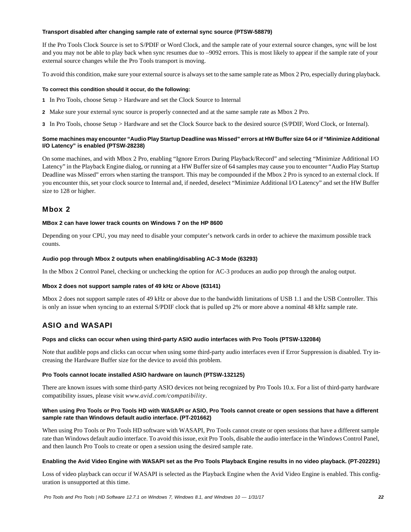### **Transport disabled after changing sample rate of external sync source (PTSW-58879)**

If the Pro Tools Clock Source is set to S/PDIF or Word Clock, and the sample rate of your external source changes, sync will be lost and you may not be able to play back when sync resumes due to –9092 errors. This is most likely to appear if the sample rate of your external source changes while the Pro Tools transport is moving.

To avoid this condition, make sure your external source is always set to the same sample rate as Mbox 2 Pro, especially during playback.

### **To correct this condition should it occur, do the following:**

- **1** In Pro Tools, choose Setup > Hardware and set the Clock Source to Internal
- **2** Make sure your external sync source is properly connected and at the same sample rate as Mbox 2 Pro.
- **3** In Pro Tools, choose Setup > Hardware and set the Clock Source back to the desired source (S/PDIF, Word Clock, or Internal).

# **Some machines may encounter "Audio Play Startup Deadline was Missed" errors at HW Buffer size 64 or if "Minimize Additional I/O Latency" is enabled (PTSW-28238)**

On some machines, and with Mbox 2 Pro, enabling "Ignore Errors During Playback/Record" and selecting "Minimize Additional I/O Latency" in the Playback Engine dialog, or running at a HW Buffer size of 64 samples may cause you to encounter "Audio Play Startup Deadline was Missed" errors when starting the transport. This may be compounded if the Mbox 2 Pro is synced to an external clock. If you encounter this, set your clock source to Internal and, if needed, deselect "Minimize Additional I/O Latency" and set the HW Buffer size to 128 or higher.

# Mbox 2

#### **MBox 2 can have lower track counts on Windows 7 on the HP 8600**

Depending on your CPU, you may need to disable your computer's network cards in order to achieve the maximum possible track counts.

### **Audio pop through Mbox 2 outputs when enabling/disabling AC-3 Mode (63293)**

In the Mbox 2 Control Panel, checking or unchecking the option for AC-3 produces an audio pop through the analog output.

# **Mbox 2 does not support sample rates of 49 kHz or Above (63141)**

Mbox 2 does not support sample rates of 49 kHz or above due to the bandwidth limitations of USB 1.1 and the USB Controller. This is only an issue when syncing to an external S/PDIF clock that is pulled up 2% or more above a nominal 48 kHz sample rate.

# ASIO and WASAPI

#### **Pops and clicks can occur when using third-party ASIO audio interfaces with Pro Tools (PTSW-132084)**

Note that audible pops and clicks can occur when using some third-party audio interfaces even if Error Suppression is disabled. Try increasing the Hardware Buffer size for the device to avoid this problem.

# **Pro Tools cannot locate installed ASIO hardware on launch (PTSW-132125)**

There are known issues with some third-party ASIO devices not being recognized by Pro Tools 10.x. For a list of third-party hardware compatibility issues, please visit *www.avid.com/compatibility*.

# **When using Pro Tools or Pro Tools HD with WASAPI or ASIO, Pro Tools cannot create or open sessions that have a different sample rate than Windows default audio interface. (PT-201662)**

When using Pro Tools or Pro Tools HD software with WASAPI, Pro Tools cannot create or open sessions that have a different sample rate than Windows default audio interface. To avoid this issue, exit Pro Tools, disable the audio interface in the Windows Control Panel, and then launch Pro Tools to create or open a session using the desired sample rate.

# **Enabling the Avid Video Engine with WASAPI set as the Pro Tools Playback Engine results in no video playback. (PT-202291)**

Loss of video playback can occur if WASAPI is selected as the Playback Engine when the Avid Video Engine is enabled. This configuration is unsupported at this time.